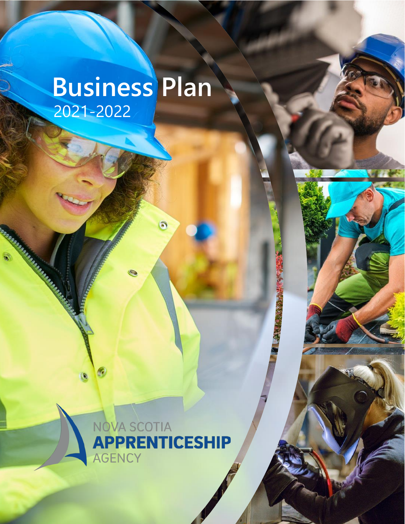# **Business Plan** 2021-2022

**MARINE AND STRATEGIC** 



 $\odot$ 

Page 1 of 6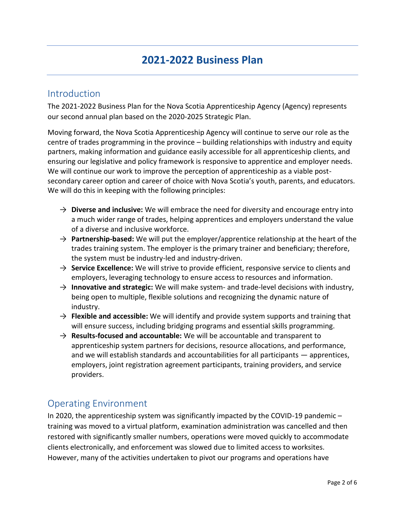## Introduction

The 2021-2022 Business Plan for the Nova Scotia Apprenticeship Agency (Agency) represents our second annual plan based on the 2020-2025 Strategic Plan.

Moving forward, the Nova Scotia Apprenticeship Agency will continue to serve our role as the centre of trades programming in the province – building relationships with industry and equity partners, making information and guidance easily accessible for all apprenticeship clients, and ensuring our legislative and policy framework is responsive to apprentice and employer needs. We will continue our work to improve the perception of apprenticeship as a viable postsecondary career option and career of choice with Nova Scotia's youth, parents, and educators. We will do this in keeping with the following principles:

- $\rightarrow$  **Diverse and inclusive:** We will embrace the need for diversity and encourage entry into a much wider range of trades, helping apprentices and employers understand the value of a diverse and inclusive workforce.
- → **Partnership-based:** We will put the employer/apprentice relationship at the heart of the trades training system. The employer is the primary trainer and beneficiary; therefore, the system must be industry-led and industry-driven.
- → **Service Excellence:** We will strive to provide efficient, responsive service to clients and employers, leveraging technology to ensure access to resources and information.
- → **Innovative and strategic:** We will make system- and trade-level decisions with industry, being open to multiple, flexible solutions and recognizing the dynamic nature of industry.
- → **Flexible and accessible:** We will identify and provide system supports and training that will ensure success, including bridging programs and essential skills programming.
- → **Results-focused and accountable:** We will be accountable and transparent to apprenticeship system partners for decisions, resource allocations, and performance, and we will establish standards and accountabilities for all participants — apprentices, employers, joint registration agreement participants, training providers, and service providers.

### Operating Environment

In 2020, the apprenticeship system was significantly impacted by the COVID-19 pandemic – training was moved to a virtual platform, examination administration was cancelled and then restored with significantly smaller numbers, operations were moved quickly to accommodate clients electronically, and enforcement was slowed due to limited access to worksites. However, many of the activities undertaken to pivot our programs and operations have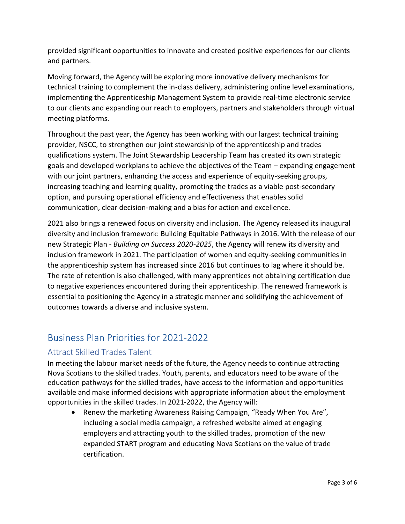provided significant opportunities to innovate and created positive experiences for our clients and partners.

Moving forward, the Agency will be exploring more innovative delivery mechanisms for technical training to complement the in-class delivery, administering online level examinations, implementing the Apprenticeship Management System to provide real-time electronic service to our clients and expanding our reach to employers, partners and stakeholders through virtual meeting platforms.

Throughout the past year, the Agency has been working with our largest technical training provider, NSCC, to strengthen our joint stewardship of the apprenticeship and trades qualifications system. The Joint Stewardship Leadership Team has created its own strategic goals and developed workplans to achieve the objectives of the Team – expanding engagement with our joint partners, enhancing the access and experience of equity-seeking groups, increasing teaching and learning quality, promoting the trades as a viable post-secondary option, and pursuing operational efficiency and effectiveness that enables solid communication, clear decision-making and a bias for action and excellence.

2021 also brings a renewed focus on diversity and inclusion. The Agency released its inaugural diversity and inclusion framework: Building Equitable Pathways in 2016. With the release of our new Strategic Plan - *Building on Success 2020-2025*, the Agency will renew its diversity and inclusion framework in 2021. The participation of women and equity-seeking communities in the apprenticeship system has increased since 2016 but continues to lag where it should be. The rate of retention is also challenged, with many apprentices not obtaining certification due to negative experiences encountered during their apprenticeship. The renewed framework is essential to positioning the Agency in a strategic manner and solidifying the achievement of outcomes towards a diverse and inclusive system.

## Business Plan Priorities for 2021-2022

### Attract Skilled Trades Talent

In meeting the labour market needs of the future, the Agency needs to continue attracting Nova Scotians to the skilled trades. Youth, parents, and educators need to be aware of the education pathways for the skilled trades, have access to the information and opportunities available and make informed decisions with appropriate information about the employment opportunities in the skilled trades. In 2021-2022, the Agency will:

• Renew the marketing Awareness Raising Campaign, "Ready When You Are", including a social media campaign, a refreshed website aimed at engaging employers and attracting youth to the skilled trades, promotion of the new expanded START program and educating Nova Scotians on the value of trade certification.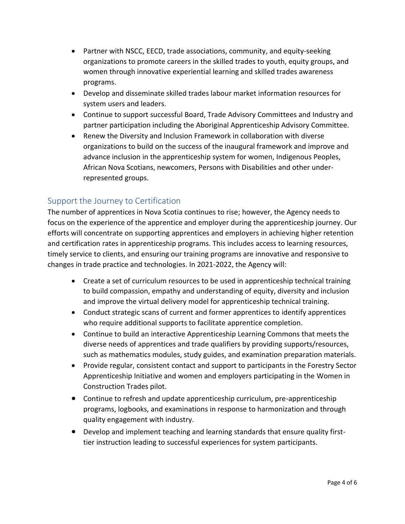- Partner with NSCC, EECD, trade associations, community, and equity-seeking organizations to promote careers in the skilled trades to youth, equity groups, and women through innovative experiential learning and skilled trades awareness programs.
- Develop and disseminate skilled trades labour market information resources for system users and leaders.
- Continue to support successful Board, Trade Advisory Committees and Industry and partner participation including the Aboriginal Apprenticeship Advisory Committee.
- Renew the Diversity and Inclusion Framework in collaboration with diverse organizations to build on the success of the inaugural framework and improve and advance inclusion in the apprenticeship system for women, Indigenous Peoples, African Nova Scotians, newcomers, Persons with Disabilities and other underrepresented groups.

#### Support the Journey to Certification

The number of apprentices in Nova Scotia continues to rise; however, the Agency needs to focus on the experience of the apprentice and employer during the apprenticeship journey. Our efforts will concentrate on supporting apprentices and employers in achieving higher retention and certification rates in apprenticeship programs. This includes access to learning resources, timely service to clients, and ensuring our training programs are innovative and responsive to changes in trade practice and technologies. In 2021-2022, the Agency will:

- Create a set of curriculum resources to be used in apprenticeship technical training to build compassion, empathy and understanding of equity, diversity and inclusion and improve the virtual delivery model for apprenticeship technical training.
- Conduct strategic scans of current and former apprentices to identify apprentices who require additional supports to facilitate apprentice completion.
- Continue to build an interactive Apprenticeship Learning Commons that meets the diverse needs of apprentices and trade qualifiers by providing supports/resources, such as mathematics modules, study guides, and examination preparation materials.
- Provide regular, consistent contact and support to participants in the Forestry Sector Apprenticeship Initiative and women and employers participating in the Women in Construction Trades pilot.
- Continue to refresh and update apprenticeship curriculum, pre-apprenticeship programs, logbooks, and examinations in response to harmonization and through quality engagement with industry.
- Develop and implement teaching and learning standards that ensure quality firsttier instruction leading to successful experiences for system participants.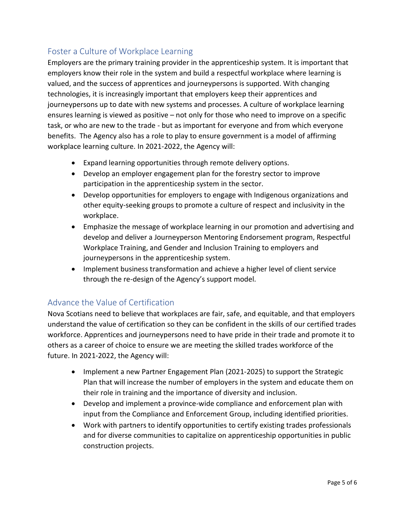### Foster a Culture of Workplace Learning

Employers are the primary training provider in the apprenticeship system. It is important that employers know their role in the system and build a respectful workplace where learning is valued, and the success of apprentices and journeypersons is supported. With changing technologies, it is increasingly important that employers keep their apprentices and journeypersons up to date with new systems and processes. A culture of workplace learning ensures learning is viewed as positive – not only for those who need to improve on a specific task, or who are new to the trade - but as important for everyone and from which everyone benefits. The Agency also has a role to play to ensure government is a model of affirming workplace learning culture. In 2021-2022, the Agency will:

- Expand learning opportunities through remote delivery options.
- Develop an employer engagement plan for the forestry sector to improve participation in the apprenticeship system in the sector.
- Develop opportunities for employers to engage with Indigenous organizations and other equity-seeking groups to promote a culture of respect and inclusivity in the workplace.
- Emphasize the message of workplace learning in our promotion and advertising and develop and deliver a Journeyperson Mentoring Endorsement program, Respectful Workplace Training, and Gender and Inclusion Training to employers and journeypersons in the apprenticeship system.
- Implement business transformation and achieve a higher level of client service through the re-design of the Agency's support model.

#### Advance the Value of Certification

Nova Scotians need to believe that workplaces are fair, safe, and equitable, and that employers understand the value of certification so they can be confident in the skills of our certified trades workforce. Apprentices and journeypersons need to have pride in their trade and promote it to others as a career of choice to ensure we are meeting the skilled trades workforce of the future. In 2021-2022, the Agency will:

- Implement a new Partner Engagement Plan (2021-2025) to support the Strategic Plan that will increase the number of employers in the system and educate them on their role in training and the importance of diversity and inclusion.
- Develop and implement a province-wide compliance and enforcement plan with input from the Compliance and Enforcement Group, including identified priorities.
- Work with partners to identify opportunities to certify existing trades professionals and for diverse communities to capitalize on apprenticeship opportunities in public construction projects.